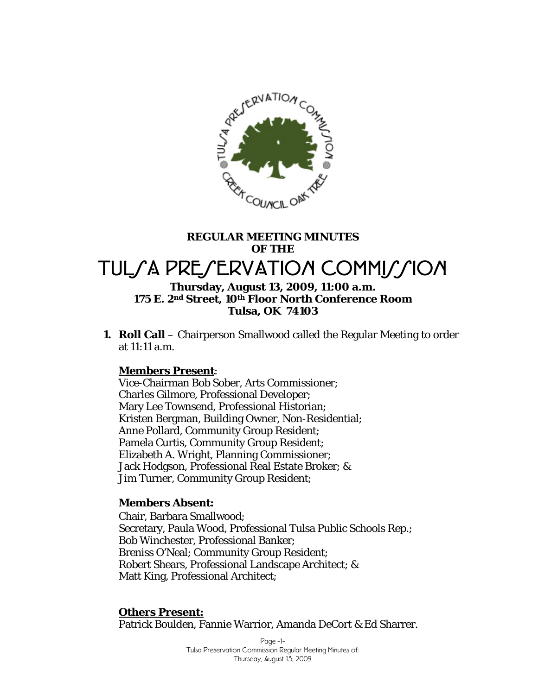

# **REGULAR MEETING MINUTES OF THE**  TUL/A PRE/ERVATION COMMI*LI*ION **Thursday, August 13, 2009, 11:00 a.m.**

# **175 E. 2nd Street, 10th Floor North Conference Room Tulsa, OK 74103**

**1. Roll Call** – Chairperson Smallwood called the Regular Meeting to order at 11:11 a.m.

# **Members Present**:

Vice-Chairman Bob Sober, Arts Commissioner; Charles Gilmore, Professional Developer; Mary Lee Townsend, Professional Historian; Kristen Bergman, Building Owner, Non-Residential; Anne Pollard, Community Group Resident; Pamela Curtis, Community Group Resident; Elizabeth A. Wright, Planning Commissioner; Jack Hodgson, Professional Real Estate Broker; & Jim Turner, Community Group Resident;

# **Members Absent:**

Chair, Barbara Smallwood; Secretary, Paula Wood, Professional Tulsa Public Schools Rep.; Bob Winchester, Professional Banker; Breniss O'Neal; Community Group Resident; Robert Shears, Professional Landscape Architect; & Matt King, Professional Architect;

# **Others Present:**

Patrick Boulden, Fannie Warrior, Amanda DeCort & Ed Sharrer.

Page -1- Tulsa Preservation Commission Regular Meeting Minutes of: Thursday, August 13, 2009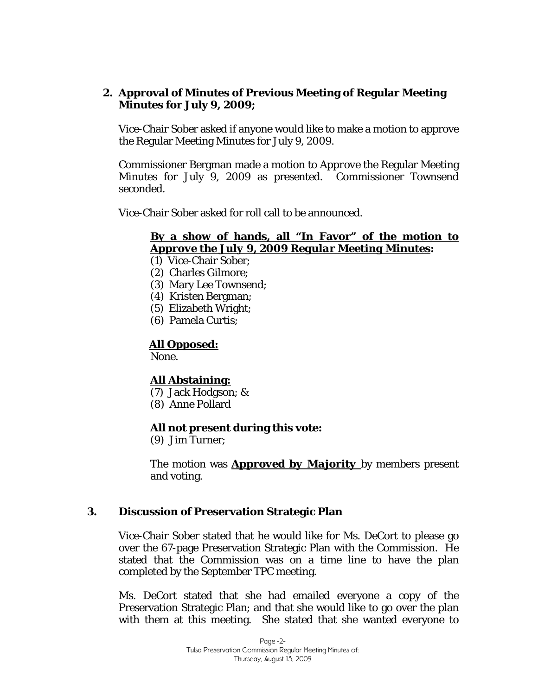### **2. Approval of Minutes of Previous Meeting of Regular Meeting Minutes for July 9, 2009;**

Vice-Chair Sober asked if anyone would like to make a motion to approve the Regular Meeting Minutes for July 9, 2009.

Commissioner Bergman made a motion to *Approve* the Regular Meeting Minutes for July 9, 2009 as presented. Commissioner Townsend seconded.

Vice-Chair Sober asked for roll call to be announced.

# **By a show of hands, all "In Favor" of the motion to**  *Approve the July 9, 2009 Regular Meeting Minutes***:**

- (1) Vice-Chair Sober;
- (2) Charles Gilmore;
- (3) Mary Lee Townsend;
- (4) Kristen Bergman;
- (5) Elizabeth Wright;
- (6) Pamela Curtis;

#### **All Opposed:**

None.

# **All Abstaining:**

- (7) Jack Hodgson; &
- (8) Anne Pollard

#### **All not present during this vote:**

(9) Jim Turner;

The motion was *Approved by Majority* by members present and voting.

#### **3. Discussion of Preservation Strategic Plan**

Vice-Chair Sober stated that he would like for Ms. DeCort to please go over the 67-page Preservation Strategic Plan with the Commission. He stated that the Commission was on a time line to have the plan completed by the September TPC meeting.

Ms. DeCort stated that she had emailed everyone a copy of the Preservation Strategic Plan; and that she would like to go over the plan with them at this meeting. She stated that she wanted everyone to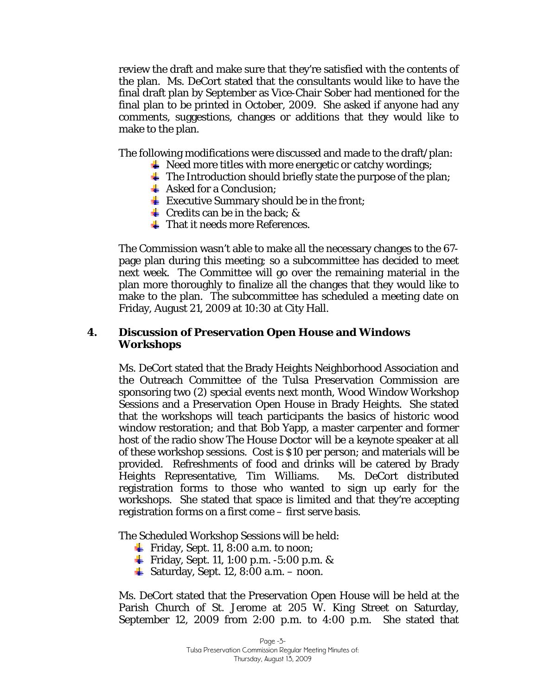review the draft and make sure that they're satisfied with the contents of the plan. Ms. DeCort stated that the consultants would like to have the final draft plan by September as Vice-Chair Sober had mentioned for the final plan to be printed in October, 2009. She asked if anyone had any comments, suggestions, changes or additions that they would like to make to the plan.

The following modifications were discussed and made to the draft/plan:

- $\downarrow$  Need more titles with more energetic or catchy wordings;
- $\overline{\text{I}}$  The Introduction should briefly state the purpose of the plan;
- $\triangleq$  Asked for a Conclusion;
- $\frac{1}{\sqrt{2}}$  Executive Summary should be in the front;
- $\overline{\text{I}}$  Credits can be in the back; &
- **That it needs more References.**

The Commission wasn't able to make all the necessary changes to the 67 page plan during this meeting; so a subcommittee has decided to meet next week. The Committee will go over the remaining material in the plan more thoroughly to finalize all the changes that they would like to make to the plan. The subcommittee has scheduled a meeting date on Friday, August 21, 2009 at 10:30 at City Hall.

#### **4. Discussion of Preservation Open House and Windows Workshops**

Ms. DeCort stated that the Brady Heights Neighborhood Association and the Outreach Committee of the Tulsa Preservation Commission are sponsoring two (2) special events next month, Wood Window Workshop Sessions and a Preservation Open House in Brady Heights. She stated that the workshops will teach participants the basics of historic wood window restoration; and that Bob Yapp, a master carpenter and former host of the radio show *The House Doctor* will be a keynote speaker at all of these workshop sessions. Cost is \$10 per person; and materials will be provided. Refreshments of food and drinks will be catered by Brady Heights Representative, Tim Williams. Ms. DeCort distributed registration forms to those who wanted to sign up early for the workshops. She stated that space is limited and that they're accepting registration forms on a first come – first serve basis.

The Scheduled Workshop Sessions will be held:

- **Fiday, Sept. 11, 8:00 a.m. to noon;**
- **Fiday, Sept. 11, 1:00 p.m. -5:00 p.m. &**
- $\downarrow$  Saturday, Sept. 12, 8:00 a.m. noon.

Ms. DeCort stated that the Preservation Open House will be held at the Parish Church of St. Jerome at 205 W. King Street on Saturday, September 12, 2009 from 2:00 p.m. to 4:00 p.m. She stated that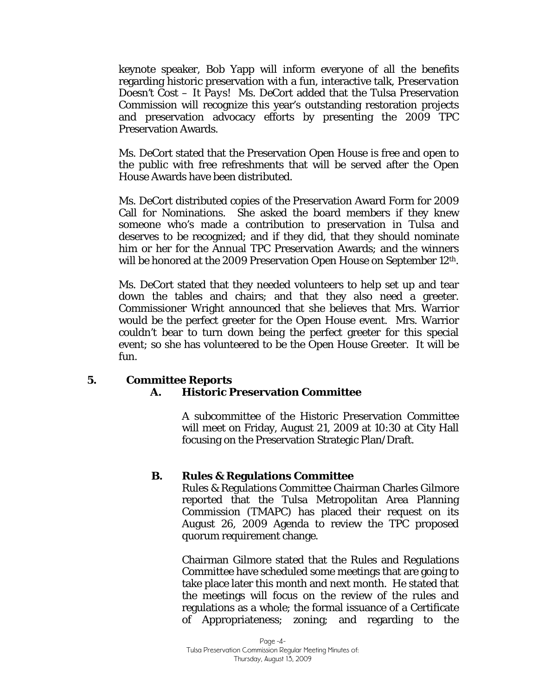keynote speaker, Bob Yapp will inform everyone of all the benefits regarding historic preservation with a fun, interactive talk, *Preservation Doesn't Cost – It Pays!* Ms. DeCort added that the Tulsa Preservation Commission will recognize this year's outstanding restoration projects and preservation advocacy efforts by presenting the 2009 TPC Preservation Awards.

Ms. DeCort stated that the Preservation Open House is free and open to the public with free refreshments that will be served after the Open House Awards have been distributed.

Ms. DeCort distributed copies of the Preservation Award Form for 2009 Call for Nominations. She asked the board members if they knew someone who's made a contribution to preservation in Tulsa and deserves to be recognized; and if they did, that they should nominate him or her for the Annual TPC Preservation Awards; and the winners will be honored at the 2009 Preservation Open House on September 12<sup>th</sup>.

Ms. DeCort stated that they needed volunteers to help set up and tear down the tables and chairs; and that they also need a greeter. Commissioner Wright announced that she believes that Mrs. Warrior would be the perfect greeter for the Open House event. Mrs. Warrior couldn't bear to turn down being the perfect greeter for this special event; so she has volunteered to be the Open House Greeter. It will be fun.

# **5. Committee Reports A. Historic Preservation Committee**

A subcommittee of the Historic Preservation Committee will meet on Friday, August 21, 2009 at 10:30 at City Hall focusing on the Preservation Strategic Plan/Draft.

# **B. Rules & Regulations Committee**

Rules & Regulations Committee Chairman Charles Gilmore reported that the Tulsa Metropolitan Area Planning Commission (TMAPC) has placed their request on its August 26, 2009 Agenda to review the TPC proposed quorum requirement change.

Chairman Gilmore stated that the Rules and Regulations Committee have scheduled some meetings that are going to take place later this month and next month. He stated that the meetings will focus on the review of the rules and regulations as a whole; the formal issuance of a Certificate of Appropriateness; zoning; and regarding to the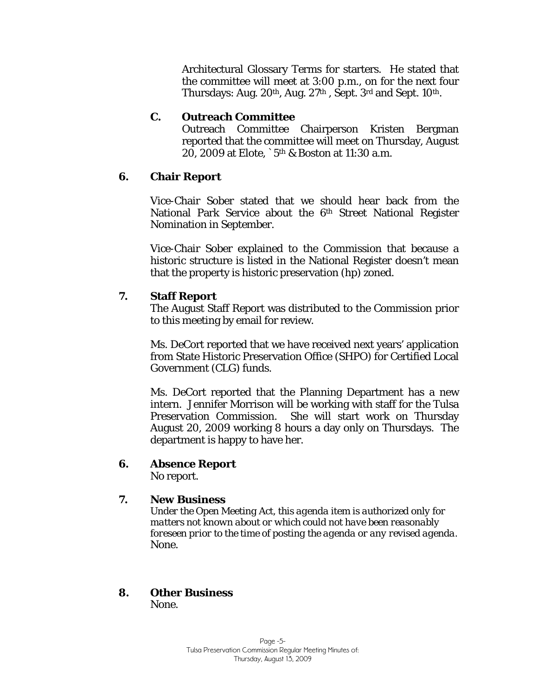Architectural Glossary Terms for starters. He stated that the committee will meet at 3:00 p.m., on for the next four Thursdays: Aug. 20<sup>th</sup>, Aug. 27<sup>th</sup>, Sept. 3<sup>rd</sup> and Sept. 10<sup>th</sup>.

# **C. Outreach Committee**

Outreach Committee Chairperson Kristen Bergman reported that the committee will meet on Thursday, August 20, 2009 at Elote, `5th & Boston at 11:30 a.m.

# **6. Chair Report**

Vice-Chair Sober stated that we should hear back from the National Park Service about the 6<sup>th</sup> Street National Register Nomination in September.

Vice-Chair Sober explained to the Commission that because a historic structure is listed in the National Register doesn't mean that the property is historic preservation (hp) zoned.

# **7. Staff Report**

The August Staff Report was distributed to the Commission prior to this meeting by email for review.

Ms. DeCort reported that we have received next years' application from State Historic Preservation Office (SHPO) for Certified Local Government (CLG) funds.

Ms. DeCort reported that the Planning Department has a new intern. Jennifer Morrison will be working with staff for the Tulsa Preservation Commission. She will start work on Thursday August 20, 2009 working 8 hours a day only on Thursdays. The department is happy to have her.

# **6. Absence Report**

No report.

# **7. New Business**

*Under the Open Meeting Act, this agenda item is authorized only for matters not known about or which could not have been reasonably foreseen prior to the time of posting the agenda or any revised agenda.*  None.

#### **8. Other Business**  None.